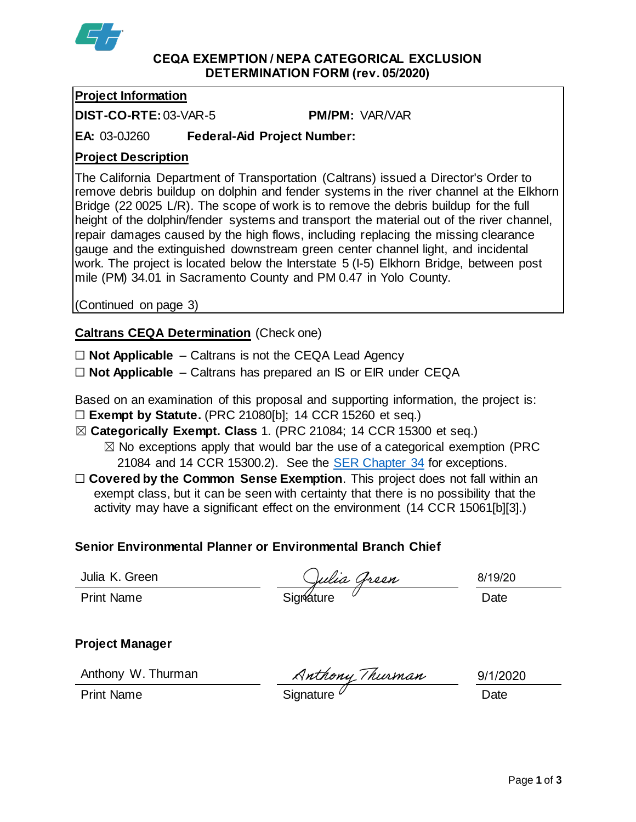

#### **CEQA EXEMPTION / NEPA CATEGORICAL EXCLUSION DETERMINATION FORM (rev. 05/2020)**

## **Project Information**

**DIST-CO-RTE:**03-VAR-5 **PM/PM:** VAR/VAR

**EA:** 03-0J260 **Federal-Aid Project Number:**

## **Project Description**

The California Department of Transportation (Caltrans) issued a Director's Order to remove debris buildup on dolphin and fender systems in the river channel at the Elkhorn Bridge (22 0025 L/R). The scope of work is to remove the debris buildup for the full height of the dolphin/fender systems and transport the material out of the river channel, repair damages caused by the high flows, including replacing the missing clearance gauge and the extinguished downstream green center channel light, and incidental work. The project is located below the Interstate 5 (I-5) Elkhorn Bridge, between post mile (PM) 34.01 in Sacramento County and PM 0.47 in Yolo County.

(Continued on page 3)

## **Caltrans CEQA Determination** (Check one)

☐ **Not Applicable** – Caltrans is not the CEQA Lead Agency

☐ **Not Applicable** – Caltrans has prepared an IS or EIR under CEQA

Based on an examination of this proposal and supporting information, the project is: ☐ **Exempt by Statute.** (PRC 21080[b]; 14 CCR 15260 et seq.)

- ☒ **Categorically Exempt. Class** 1. (PRC 21084; 14 CCR 15300 et seq.)
	- $\boxtimes$  No exceptions apply that would bar the use of a categorical exemption (PRC 21084 and 14 CCR 15300.2). See the [SER Chapter 34](https://dot.ca.gov/programs/environmental-analysis/standard-environmental-reference-ser/volume-1-guidance-for-compliance/ch-34-exemptions-to-ceqa#except) for exceptions.
- □ **Covered by the Common Sense Exemption**. This project does not fall within an exempt class, but it can be seen with certainty that there is no possibility that the activity may have a significant effect on the environment (14 CCR 15061[b][3].)

#### **Senior Environmental Planner or Environmental Branch Chief**

Julia K. Green

Julia K. Green (19/2)<br>Print Name (19/2) Signature (19/2) Signature (19/2) Date

8/19/20

**Project Manager**

Anthony W. Thurman

Anthony W. Thurman Muthony Thurman 9/1/20<br>Print Name Date

9/1/2020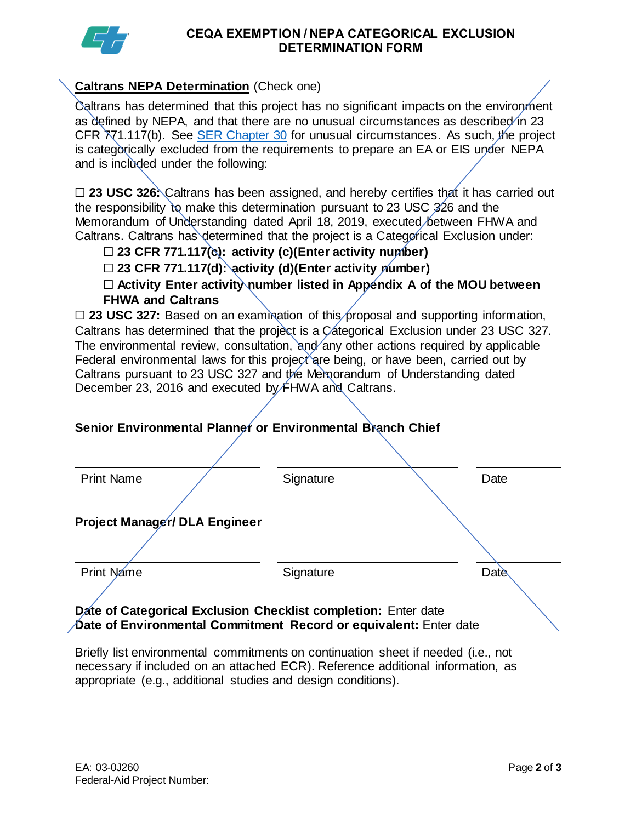

#### **CEQA EXEMPTION / NEPA CATEGORICAL EXCLUSION DETERMINATION FORM**

#### **Caltrans NEPA Determination** (Check one)

Caltrans has determined that this project has no significant impacts on the environment as defined by NEPA, and that there are no unusual circumstances as described in 23 CFR 771.117(b). See [SER Chapter 30](https://dot.ca.gov/programs/environmental-analysis/standard-environmental-reference-ser/volume-1-guidance-for-compliance/ch-30-categorical-exclusions#exception) for unusual circumstances. As such, the project is categorically excluded from the requirements to prepare an EA or EIS under NEPA and is included under the following:

□ 23 USC 326: Caltrans has been assigned, and hereby certifies that it has carried out the responsibility to make this determination pursuant to 23 USC 326 and the Memorandum of Understanding dated April 18, 2019, executed between FHWA and Caltrans. Caltrans has determined that the project is a Categorical Exclusion under:

# ☐ **23 CFR 771.117(c): activity (c)(Enter activity number)**

☐ **23 CFR 771.117(d): activity (d)(Enter activity number)**

☐ **Activity Enter activity number listed in Appendix A of the MOU between FHWA and Caltrans**

□ 23 USC 327: Based on an examination of this proposal and supporting information, Caltrans has determined that the project is a Categorical Exclusion under 23 USC 327. The environmental review, consultation, and any other actions required by applicable Federal environmental laws for this project are being, or have been, carried out by Caltrans pursuant to 23 USC 327 and the Memorandum of Understanding dated December 23, 2016 and executed by FHWA and Caltrans.

# Print Name  $\sqrt{ }$  Signature  $\sqrt{ }$  Date **Project Manager/ DLA Engineer** Print Name **Signature Date**

# **Senior Environmental Planner or Environmental Branch Chief**

**Date of Categorical Exclusion Checklist completion:** Enter date **Date of Environmental Commitment Record or equivalent:** Enter date

Briefly list environmental commitments on continuation sheet if needed (i.e., not necessary if included on an attached ECR). Reference additional information, as appropriate (e.g., additional studies and design conditions).